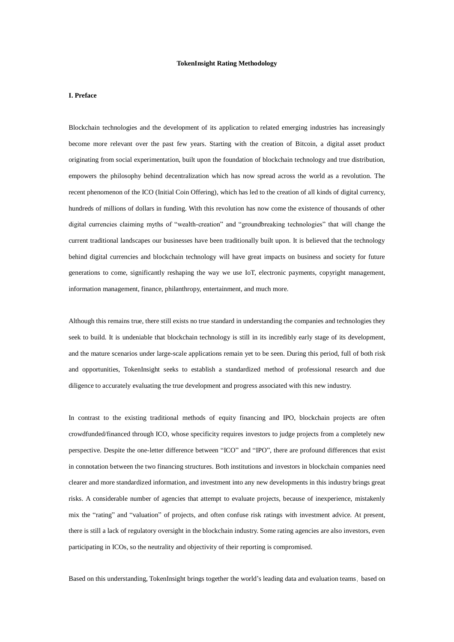#### **TokenInsight Rating Methodology**

#### **I. Preface**

Blockchain technologies and the development of its application to related emerging industries has increasingly become more relevant over the past few years. Starting with the creation of Bitcoin, a digital asset product originating from social experimentation, built upon the foundation of blockchain technology and true distribution, empowers the philosophy behind decentralization which has now spread across the world as a revolution. The recent phenomenon of the ICO (Initial Coin Offering), which has led to the creation of all kinds of digital currency, hundreds of millions of dollars in funding. With this revolution has now come the existence of thousands of other digital currencies claiming myths of "wealth-creation" and "groundbreaking technologies" that will change the current traditional landscapes our businesses have been traditionally built upon. It is believed that the technology behind digital currencies and blockchain technology will have great impacts on business and society for future generations to come, significantly reshaping the way we use IoT, electronic payments, copyright management, information management, finance, philanthropy, entertainment, and much more.

Although this remains true, there still exists no true standard in understanding the companies and technologies they seek to build. It is undeniable that blockchain technology is still in its incredibly early stage of its development, and the mature scenarios under large-scale applications remain yet to be seen. During this period, full of both risk and opportunities, TokenInsight seeks to establish a standardized method of professional research and due diligence to accurately evaluating the true development and progress associated with this new industry.

In contrast to the existing traditional methods of equity financing and IPO, blockchain projects are often crowdfunded/financed through ICO, whose specificity requires investors to judge projects from a completely new perspective. Despite the one-letter difference between "ICO" and "IPO", there are profound differences that exist in connotation between the two financing structures. Both institutions and investors in blockchain companies need clearer and more standardized information, and investment into any new developments in this industry brings great risks. A considerable number of agencies that attempt to evaluate projects, because of inexperience, mistakenly mix the "rating" and "valuation" of projects, and often confuse risk ratings with investment advice. At present, there is still a lack of regulatory oversight in the blockchain industry. Some rating agencies are also investors, even participating in ICOs, so the neutrality and objectivity of their reporting is compromised.

Based on this understanding, TokenInsight brings together the world's leading data and evaluation teams, based on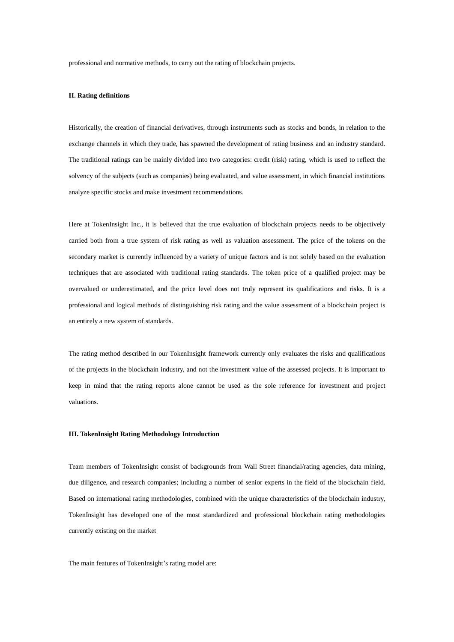professional and normative methods, to carry out the rating of blockchain projects.

#### **II. Rating definitions**

Historically, the creation of financial derivatives, through instruments such as stocks and bonds, in relation to the exchange channels in which they trade, has spawned the development of rating business and an industry standard. The traditional ratings can be mainly divided into two categories: credit (risk) rating, which is used to reflect the solvency of the subjects (such as companies) being evaluated, and value assessment, in which financial institutions analyze specific stocks and make investment recommendations.

Here at TokenInsight Inc., it is believed that the true evaluation of blockchain projects needs to be objectively carried both from a true system of risk rating as well as valuation assessment. The price of the tokens on the secondary market is currently influenced by a variety of unique factors and is not solely based on the evaluation techniques that are associated with traditional rating standards. The token price of a qualified project may be overvalued or underestimated, and the price level does not truly represent its qualifications and risks. It is a professional and logical methods of distinguishing risk rating and the value assessment of a blockchain project is an entirely a new system of standards.

The rating method described in our TokenInsight framework currently only evaluates the risks and qualifications of the projects in the blockchain industry, and not the investment value of the assessed projects. It is important to keep in mind that the rating reports alone cannot be used as the sole reference for investment and project valuations.

#### **III. TokenInsight Rating Methodology Introduction**

Team members of TokenInsight consist of backgrounds from Wall Street financial/rating agencies, data mining, due diligence, and research companies; including a number of senior experts in the field of the blockchain field. Based on international rating methodologies, combined with the unique characteristics of the blockchain industry, TokenInsight has developed one of the most standardized and professional blockchain rating methodologies currently existing on the market

The main features of TokenInsight's rating model are: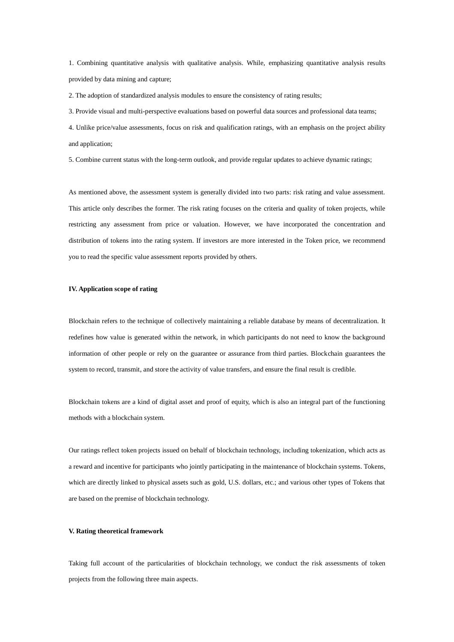1. Combining quantitative analysis with qualitative analysis. While, emphasizing quantitative analysis results provided by data mining and capture;

2. The adoption of standardized analysis modules to ensure the consistency of rating results;

3. Provide visual and multi-perspective evaluations based on powerful data sources and professional data teams;

4. Unlike price/value assessments, focus on risk and qualification ratings, with an emphasis on the project ability and application;

5. Combine current status with the long-term outlook, and provide regular updates to achieve dynamic ratings;

As mentioned above, the assessment system is generally divided into two parts: risk rating and value assessment. This article only describes the former. The risk rating focuses on the criteria and quality of token projects, while restricting any assessment from price or valuation. However, we have incorporated the concentration and distribution of tokens into the rating system. If investors are more interested in the Token price, we recommend you to read the specific value assessment reports provided by others.

### **IV. Application scope of rating**

Blockchain refers to the technique of collectively maintaining a reliable database by means of decentralization. It redefines how value is generated within the network, in which participants do not need to know the background information of other people or rely on the guarantee or assurance from third parties. Blockchain guarantees the system to record, transmit, and store the activity of value transfers, and ensure the final result is credible.

Blockchain tokens are a kind of digital asset and proof of equity, which is also an integral part of the functioning methods with a blockchain system.

Our ratings reflect token projects issued on behalf of blockchain technology, including tokenization, which acts as a reward and incentive for participants who jointly participating in the maintenance of blockchain systems. Tokens, which are directly linked to physical assets such as gold, U.S. dollars, etc.; and various other types of Tokens that are based on the premise of blockchain technology.

### **V. Rating theoretical framework**

Taking full account of the particularities of blockchain technology, we conduct the risk assessments of token projects from the following three main aspects.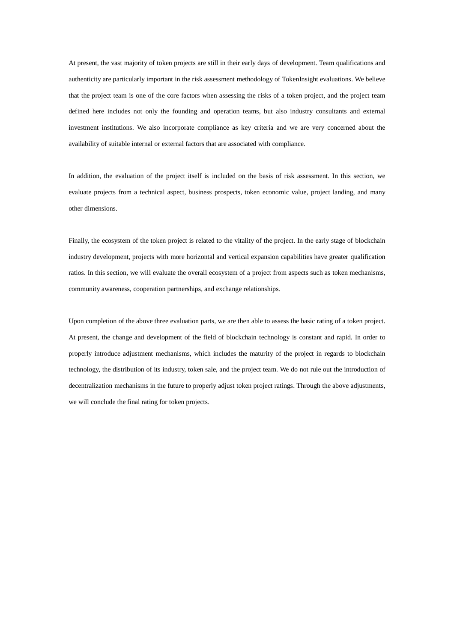At present, the vast majority of token projects are still in their early days of development. Team qualifications and authenticity are particularly important in the risk assessment methodology of TokenInsight evaluations. We believe that the project team is one of the core factors when assessing the risks of a token project, and the project team defined here includes not only the founding and operation teams, but also industry consultants and external investment institutions. We also incorporate compliance as key criteria and we are very concerned about the availability of suitable internal or external factors that are associated with compliance.

In addition, the evaluation of the project itself is included on the basis of risk assessment. In this section, we evaluate projects from a technical aspect, business prospects, token economic value, project landing, and many other dimensions.

Finally, the ecosystem of the token project is related to the vitality of the project. In the early stage of blockchain industry development, projects with more horizontal and vertical expansion capabilities have greater qualification ratios. In this section, we will evaluate the overall ecosystem of a project from aspects such as token mechanisms, community awareness, cooperation partnerships, and exchange relationships.

Upon completion of the above three evaluation parts, we are then able to assess the basic rating of a token project. At present, the change and development of the field of blockchain technology is constant and rapid. In order to properly introduce adjustment mechanisms, which includes the maturity of the project in regards to blockchain technology, the distribution of its industry, token sale, and the project team. We do not rule out the introduction of decentralization mechanisms in the future to properly adjust token project ratings. Through the above adjustments, we will conclude the final rating for token projects.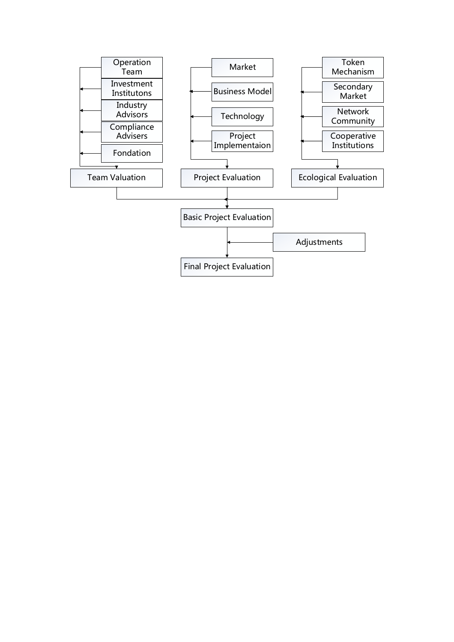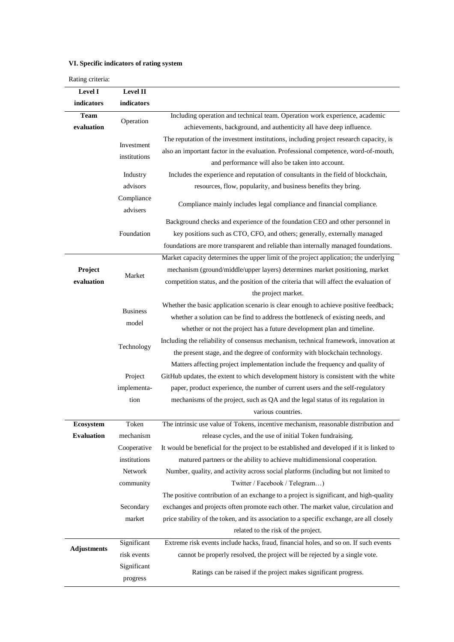# **VI. Specific indicators of rating system**

Rating criteria:

| Level I            | Level II                   |                                                                                           |
|--------------------|----------------------------|-------------------------------------------------------------------------------------------|
| indicators         | indicators                 |                                                                                           |
| <b>Team</b>        | Operation                  | Including operation and technical team. Operation work experience, academic               |
| evaluation         |                            | achievements, background, and authenticity all have deep influence.                       |
|                    | Investment<br>institutions | The reputation of the investment institutions, including project research capacity, is    |
|                    |                            | also an important factor in the evaluation. Professional competence, word-of-mouth,       |
|                    |                            | and performance will also be taken into account.                                          |
|                    | Industry                   | Includes the experience and reputation of consultants in the field of blockchain,         |
|                    | advisors                   | resources, flow, popularity, and business benefits they bring.                            |
|                    | Compliance                 | Compliance mainly includes legal compliance and financial compliance.                     |
|                    | advisers                   |                                                                                           |
|                    |                            | Background checks and experience of the foundation CEO and other personnel in             |
|                    | Foundation                 | key positions such as CTO, CFO, and others; generally, externally managed                 |
|                    |                            | foundations are more transparent and reliable than internally managed foundations.        |
|                    |                            | Market capacity determines the upper limit of the project application; the underlying     |
| Project            | Market                     | mechanism (ground/middle/upper layers) determines market positioning, market              |
| evaluation         |                            | competition status, and the position of the criteria that will affect the evaluation of   |
|                    |                            | the project market.                                                                       |
|                    |                            | Whether the basic application scenario is clear enough to achieve positive feedback;      |
|                    | <b>Business</b>            | whether a solution can be find to address the bottleneck of existing needs, and           |
|                    | model                      | whether or not the project has a future development plan and timeline.                    |
|                    |                            | Including the reliability of consensus mechanism, technical framework, innovation at      |
|                    | Technology                 | the present stage, and the degree of conformity with blockchain technology.               |
|                    |                            | Matters affecting project implementation include the frequency and quality of             |
|                    | Project                    | GitHub updates, the extent to which development history is consistent with the white      |
|                    | implementa-                | paper, product experience, the number of current users and the self-regulatory            |
|                    | tion                       | mechanisms of the project, such as QA and the legal status of its regulation in           |
|                    |                            | various countries.                                                                        |
| Ecosystem          | Token                      | The intrinsic use value of Tokens, incentive mechanism, reasonable distribution and       |
| <b>Evaluation</b>  | mechanism                  | release cycles, and the use of initial Token fundraising.                                 |
|                    | Cooperative                | It would be beneficial for the project to be established and developed if it is linked to |
|                    | institutions               | matured partners or the ability to achieve multidimensional cooperation.                  |
|                    | Network                    | Number, quality, and activity across social platforms (including but not limited to       |
|                    | community                  | Twitter / Facebook / Telegram)                                                            |
|                    |                            | The positive contribution of an exchange to a project is significant, and high-quality    |
|                    | Secondary                  | exchanges and projects often promote each other. The market value, circulation and        |
|                    | market                     | price stability of the token, and its association to a specific exchange, are all closely |
|                    |                            | related to the risk of the project.                                                       |
| <b>Adjustments</b> | Significant                | Extreme risk events include hacks, fraud, financial holes, and so on. If such events      |
|                    | risk events                | cannot be properly resolved, the project will be rejected by a single vote.               |
|                    | Significant                |                                                                                           |
|                    | progress                   | Ratings can be raised if the project makes significant progress.                          |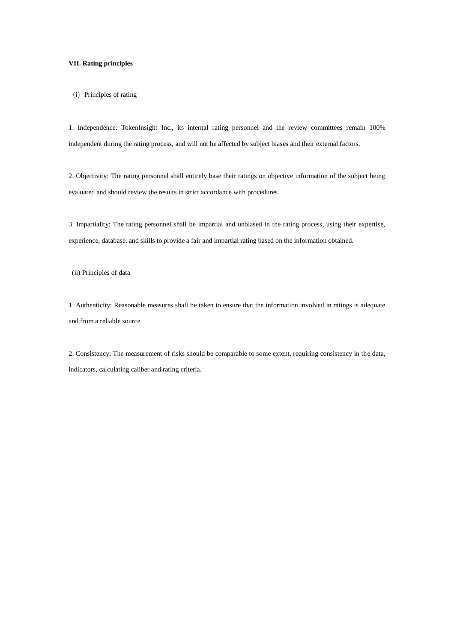## **VII. Rating principles**

(i) Principles of rating

1. Independence: TokenInsight Inc., its internal rating personnel and the review committees remain 100% independent during the rating process, and will not be affected by subject biases and their external factors.

2. Objectivity: The rating personnel shall entirely base their ratings on objective information of the subject being evaluated and should review the results in strict accordance with procedures.

3. Impartiality: The rating personnel shall be impartial and unbiased in the rating process, using their expertise, experience, database, and skills to provide a fair and impartial rating based on the information obtained.

(ii) Principles of data

1. Authenticity: Reasonable measures shall be taken to ensure that the information involved in ratings is adequate and from a reliable source.

2. Consistency: The measurement of risks should be comparable to some extent, requiring consistency in the data, indicators, calculating caliber and rating criteria.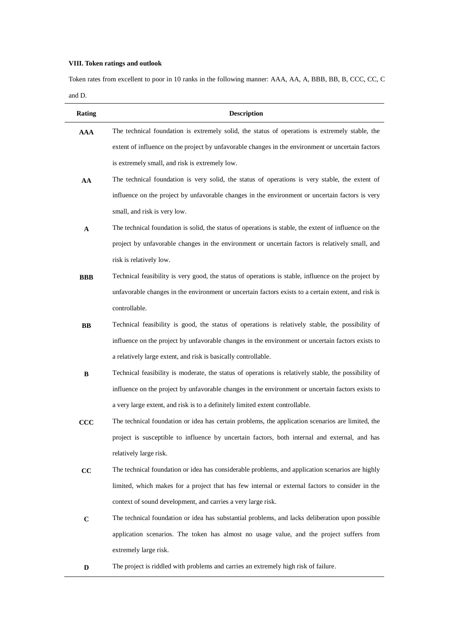## **VIII. Token ratings and outlook**

Token rates from excellent to poor in 10 ranks in the following manner: AAA, AA, A, BBB, BB, B, CCC, CC, C and D.

| <b>Rating</b> | <b>Description</b>                                                                                    |
|---------------|-------------------------------------------------------------------------------------------------------|
| <b>AAA</b>    | The technical foundation is extremely solid, the status of operations is extremely stable, the        |
|               | extent of influence on the project by unfavorable changes in the environment or uncertain factors     |
|               | is extremely small, and risk is extremely low.                                                        |
| AA            | The technical foundation is very solid, the status of operations is very stable, the extent of        |
|               | influence on the project by unfavorable changes in the environment or uncertain factors is very       |
|               | small, and risk is very low.                                                                          |
| A             | The technical foundation is solid, the status of operations is stable, the extent of influence on the |
|               | project by unfavorable changes in the environment or uncertain factors is relatively small, and       |
|               | risk is relatively low.                                                                               |
| <b>BBB</b>    | Technical feasibility is very good, the status of operations is stable, influence on the project by   |
|               | unfavorable changes in the environment or uncertain factors exists to a certain extent, and risk is   |
|               | controllable.                                                                                         |
| <b>BB</b>     | Technical feasibility is good, the status of operations is relatively stable, the possibility of      |
|               | influence on the project by unfavorable changes in the environment or uncertain factors exists to     |
|               | a relatively large extent, and risk is basically controllable.                                        |
| B             | Technical feasibility is moderate, the status of operations is relatively stable, the possibility of  |
|               | influence on the project by unfavorable changes in the environment or uncertain factors exists to     |
|               | a very large extent, and risk is to a definitely limited extent controllable.                         |
| $\bf{CCC}$    | The technical foundation or idea has certain problems, the application scenarios are limited, the     |
|               | project is susceptible to influence by uncertain factors, both internal and external, and has         |
|               | relatively large risk.                                                                                |
| cc            | The technical foundation or idea has considerable problems, and application scenarios are highly      |
|               | limited, which makes for a project that has few internal or external factors to consider in the       |
|               | context of sound development, and carries a very large risk.                                          |
| $\bf C$       | The technical foundation or idea has substantial problems, and lacks deliberation upon possible       |
|               | application scenarios. The token has almost no usage value, and the project suffers from              |
|               | extremely large risk.                                                                                 |
| D             | The project is riddled with problems and carries an extremely high risk of failure.                   |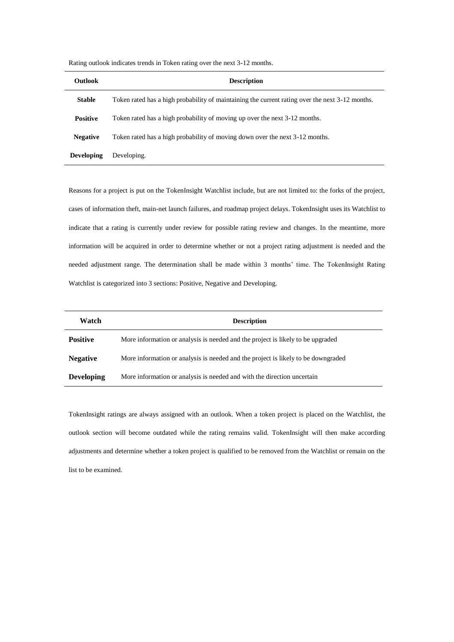| <b>Outlook</b>    | <b>Description</b>                                                                              |
|-------------------|-------------------------------------------------------------------------------------------------|
| <b>Stable</b>     | Token rated has a high probability of maintaining the current rating over the next 3-12 months. |
| <b>Positive</b>   | Token rated has a high probability of moving up over the next 3-12 months.                      |
| <b>Negative</b>   | Token rated has a high probability of moving down over the next 3-12 months.                    |
| <b>Developing</b> | Developing.                                                                                     |

Rating outlook indicates trends in Token rating over the next 3-12 months.

Reasons for a project is put on the TokenInsight Watchlist include, but are not limited to: the forks of the project, cases of information theft, main-net launch failures, and roadmap project delays. TokenInsight uses its Watchlist to indicate that a rating is currently under review for possible rating review and changes. In the meantime, more information will be acquired in order to determine whether or not a project rating adjustment is needed and the needed adjustment range. The determination shall be made within 3 months' time. The TokenInsight Rating Watchlist is categorized into 3 sections: Positive, Negative and Developing.

| Watch             | <b>Description</b>                                                                |
|-------------------|-----------------------------------------------------------------------------------|
| <b>Positive</b>   | More information or analysis is needed and the project is likely to be upgraded   |
| <b>Negative</b>   | More information or analysis is needed and the project is likely to be downgraded |
| <b>Developing</b> | More information or analysis is needed and with the direction uncertain           |

TokenInsight ratings are always assigned with an outlook. When a token project is placed on the Watchlist, the outlook section will become outdated while the rating remains valid. TokenInsight will then make according adjustments and determine whether a token project is qualified to be removed from the Watchlist or remain on the list to be examined.